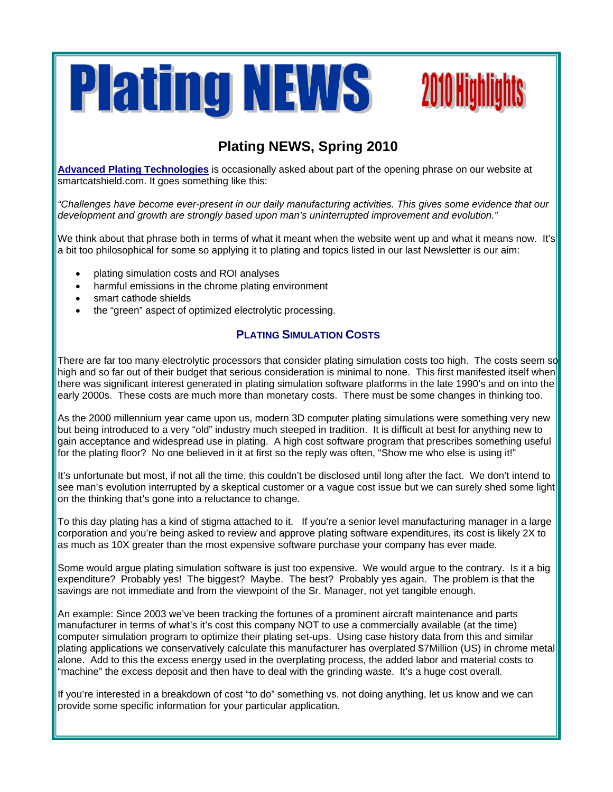

# **2010 Highlights**

# **Plating NEWS, Spring 2010**

**Advanced Plating Technologies** is occasionally asked about part of the opening phrase on our website at smartcatshield.com. It goes something like this:

*"Challenges have become ever-present in our daily manufacturing activities. This gives some evidence that our development and growth are strongly based upon man's uninterrupted improvement and evolution."* 

We think about that phrase both in terms of what it meant when the website went up and what it means now. It's a bit too philosophical for some so applying it to plating and topics listed in our last Newsletter is our aim:

- plating simulation costs and ROI analyses
- harmful emissions in the chrome plating environment
- smart cathode shields
- the "green" aspect of optimized electrolytic processing.

## **PLATING SIMULATION COSTS**

There are far too many electrolytic processors that consider plating simulation costs too high. The costs seem so high and so far out of their budget that serious consideration is minimal to none. This first manifested itself when there was significant interest generated in plating simulation software platforms in the late 1990's and on into the early 2000s. These costs are much more than monetary costs. There must be some changes in thinking too.

As the 2000 millennium year came upon us, modern 3D computer plating simulations were something very new but being introduced to a very "old" industry much steeped in tradition. It is difficult at best for anything new to gain acceptance and widespread use in plating. A high cost software program that prescribes something useful for the plating floor? No one believed in it at first so the reply was often, "Show me who else is using it!"

It's unfortunate but most, if not all the time, this couldn't be disclosed until long after the fact. We don't intend to see man's evolution interrupted by a skeptical customer or a vague cost issue but we can surely shed some light on the thinking that's gone into a reluctance to change.

To this day plating has a kind of stigma attached to it. If you're a senior level manufacturing manager in a large corporation and you're being asked to review and approve plating software expenditures, its cost is likely 2X to as much as 10X greater than the most expensive software purchase your company has ever made.

Some would argue plating simulation software is just too expensive. We would argue to the contrary. Is it a big expenditure? Probably yes! The biggest? Maybe. The best? Probably yes again. The problem is that the savings are not immediate and from the viewpoint of the Sr. Manager, not yet tangible enough.

An example: Since 2003 we've been tracking the fortunes of a prominent aircraft maintenance and parts manufacturer in terms of what's it's cost this company NOT to use a commercially available (at the time) computer simulation program to optimize their plating set-ups. Using case history data from this and similar plating applications we conservatively calculate this manufacturer has overplated \$7Million (US) in chrome metal alone. Add to this the excess energy used in the overplating process, the added labor and material costs to "machine" the excess deposit and then have to deal with the grinding waste. It's a huge cost overall.

If you're interested in a breakdown of cost "to do" something vs. not doing anything, let us know and we can provide some specific information for your particular application.